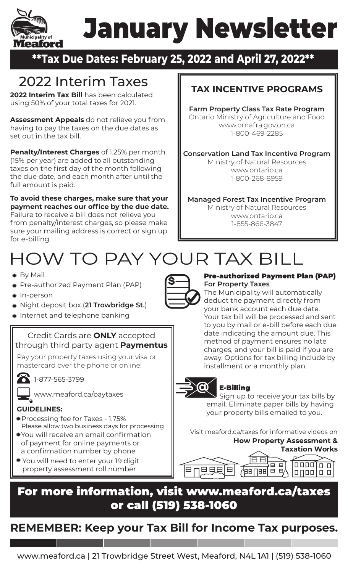### January Newsletter Meaford

### **\*\*Tax Due Dates: February 25, 2022 and April 27, 2022\*\***

# 2022 Interim Taxes

ipality of

**2022 Interim Tax Bill** has been calculated using 50% of your total taxes for 2021.

**Assessment Appeals** do not relieve you from having to pay the taxes on the due dates as set out in the tax bill.

**Penalty/Interest Charges** of 1.25% per month (15% per year) are added to all outstanding taxes on the first day of the month following the due date, and each month after until the full amount is paid.

**To avoid these charges, make sure that your payment reaches our office by the due date.**  Failure to receive a bill does not relieve you from penalty/interest charges, so please make sure your mailing address is correct or sign up for e-billing.

### **TAX INCENTIVE PROGRAMS**

**Farm Property Class Tax Rate Program** Ontario Ministry of Agriculture and Food www.omafra.gov.on.ca 1-800-469-2285

**Conservation Land Tax Incentive Program** Ministry of Natural Resources

www.ontario.ca 1-800-268-8959

**Managed Forest Tax Incentive Program**

Ministry of Natural Resources www.ontario.ca 1-855-866-3847

# HOW TO PAY YOUR TAX BILL

- By Mail
- Pre-authorized Payment Plan (PAP)
- In-person
- Night deposit box (**21 Trowbridge St.**)
- **Internet and telephone banking**

Credit Cards are **ONLY** accepted through third party agent **Paymentus**

Pay your property taxes using your visa or mastercard over the phone or online:

1-877-565-3799

www.meaford.ca/paytaxes

### **GUIDELINES:**

- Processing fee for Taxes 1.75% Please allow two business days for processing
- You will receive an email confirmation of payment for online payments or a confirmation number by phone
- You will need to enter your 19 digit property assessment roll number



#### Pre-authorized Payment Plan (PAP) **For Property Taxes**

The Municipality will automatically deduct the payment directly from your bank account each due date. Your tax bill will be processed and sent to you by mail or e-bill before each due date indicating the amount due. This method of payment ensures no late charges, and your bill is paid if you are away. Options for tax billing include by installment or a monthly plan.



### E-Billing

Sign up to receive your tax bills by email. Eliminate paper bills by having your property bills emailed to you.

**How Property Assessment &** Visit meaford.ca/taxes for informative videos on



### For more information, visit www.meaford.ca/taxes or call (519) 538-1060

### **REMEMBER: Keep your Tax Bill for Income Tax purposes.**

www.meaford.ca | 21 Trowbridge Street West, Meaford, N4L 1A1 | (519) 538-1060